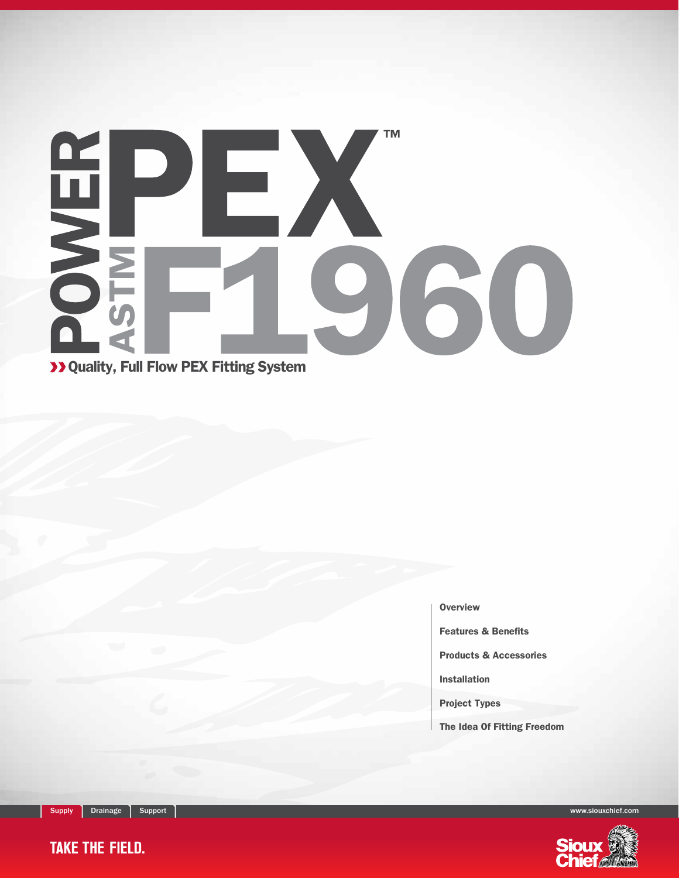# SWER **TM** EX 960

Quality, Full Flow PEX Fitting System

**Overview** 

Features & Benefits

Products & Accessories

Installation

Project Types

The Idea Of Fitting Freedom

Supply Drainage Support www.siouxchief.com



**TAKE THE FIELD.**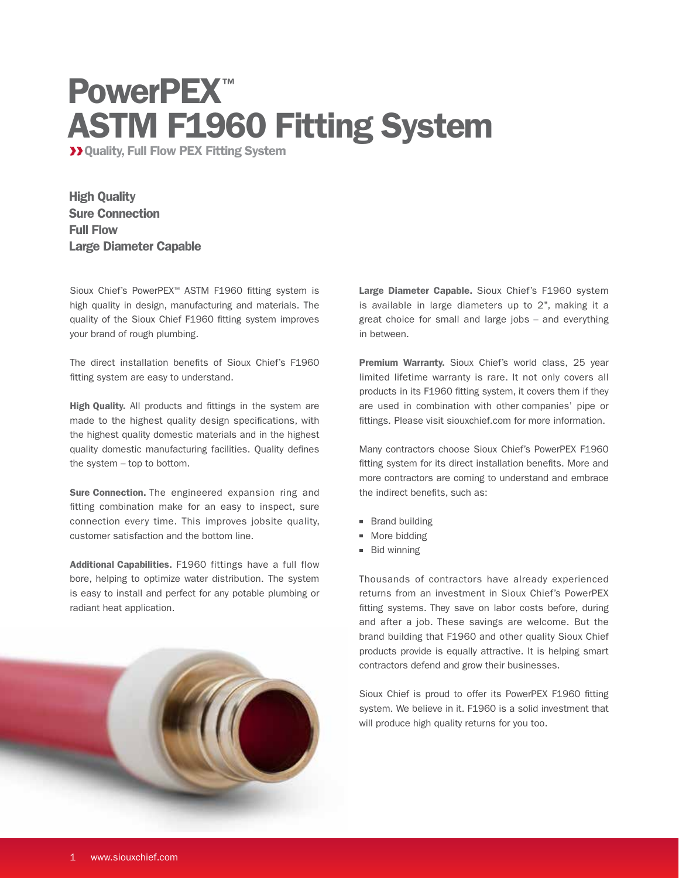## PowerPEX<sup>™</sup> ASTM F1960 Fitting System

**>>>** Quality, Full Flow PEX Fitting System

High Quality Sure Connection Full Flow Large Diameter Capable

Sioux Chief's PowerPEX™ ASTM F1960 fitting system is high quality in design, manufacturing and materials. The quality of the Sioux Chief F1960 fitting system improves your brand of rough plumbing.

The direct installation benefits of Sioux Chief's F1960 fitting system are easy to understand.

High Quality. All products and fittings in the system are made to the highest quality design specifications, with the highest quality domestic materials and in the highest quality domestic manufacturing facilities. Quality defines the system – top to bottom.

Sure Connection. The engineered expansion ring and fitting combination make for an easy to inspect, sure connection every time. This improves jobsite quality, customer satisfaction and the bottom line.

Additional Capabilities. F1960 fittings have a full flow bore, helping to optimize water distribution. The system is easy to install and perfect for any potable plumbing or radiant heat application.



Large Diameter Capable. Sioux Chief's F1960 system is available in large diameters up to 2", making it a great choice for small and large jobs – and everything in between.

Premium Warranty. Sioux Chief's world class, 25 year limited lifetime warranty is rare. It not only covers all products in its F1960 fitting system, it covers them if they are used in combination with other companies' pipe or fittings. Please visit siouxchief.com for more information.

Many contractors choose Sioux Chief's PowerPEX F1960 fitting system for its direct installation benefits. More and more contractors are coming to understand and embrace the indirect benefits, such as:

- **Brand building**
- **More bidding**
- Bid winning

Thousands of contractors have already experienced returns from an investment in Sioux Chief's PowerPEX fitting systems. They save on labor costs before, during and after a job. These savings are welcome. But the brand building that F1960 and other quality Sioux Chief products provide is equally attractive. It is helping smart contractors defend and grow their businesses.

Sioux Chief is proud to offer its PowerPEX F1960 fitting system. We believe in it. F1960 is a solid investment that will produce high quality returns for you too.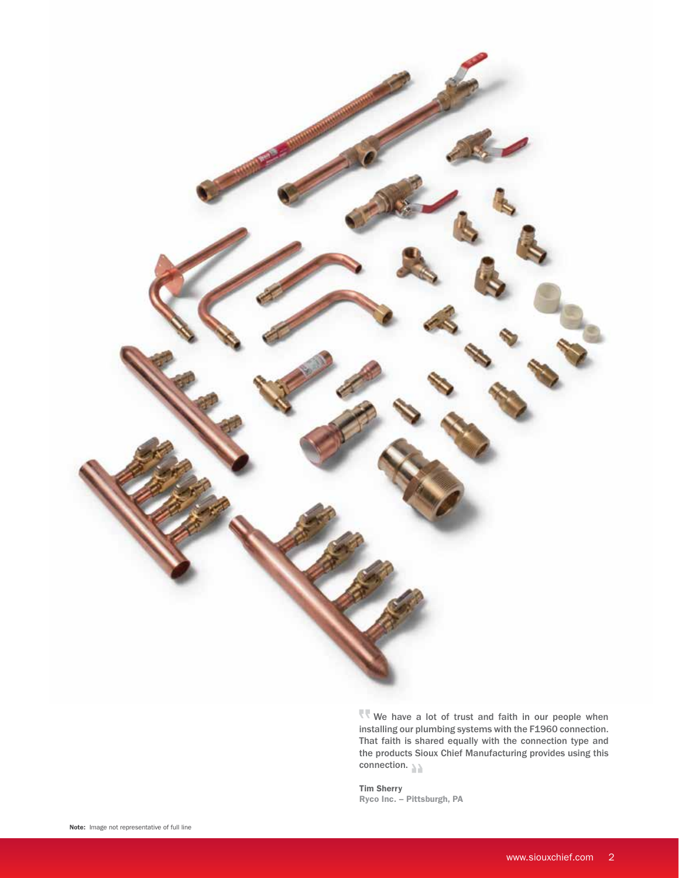

 $\mathbb{R}$  We have a lot of trust and faith in our people when installing our plumbing systems with the F1960 connection. That faith is shared equally with the connection type and the products Sioux Chief Manufacturing provides using this connection.

Tim Sherry Ryco Inc. – Pittsburgh, PA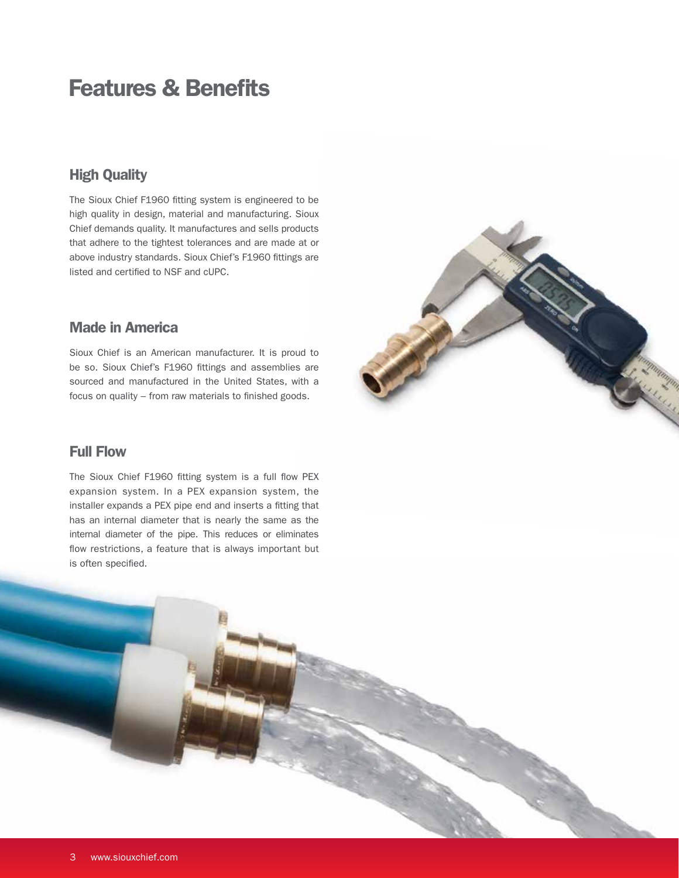### Features & Benefits

### High Quality

The Sioux Chief F1960 fitting system is engineered to be high quality in design, material and manufacturing. Sioux Chief demands quality. It manufactures and sells products that adhere to the tightest tolerances and are made at or above industry standards. Sioux Chief's F1960 fittings are listed and certified to NSF and cUPC.

### Made in America

Sioux Chief is an American manufacturer. It is proud to be so. Sioux Chief's F1960 fittings and assemblies are sourced and manufactured in the United States, with a focus on quality – from raw materials to finished goods.



### Full Flow

í

The Sioux Chief F1960 fitting system is a full flow PEX expansion system. In a PEX expansion system, the installer expands a PEX pipe end and inserts a fitting that has an internal diameter that is nearly the same as the internal diameter of the pipe. This reduces or eliminates flow restrictions, a feature that is always important but is often specified.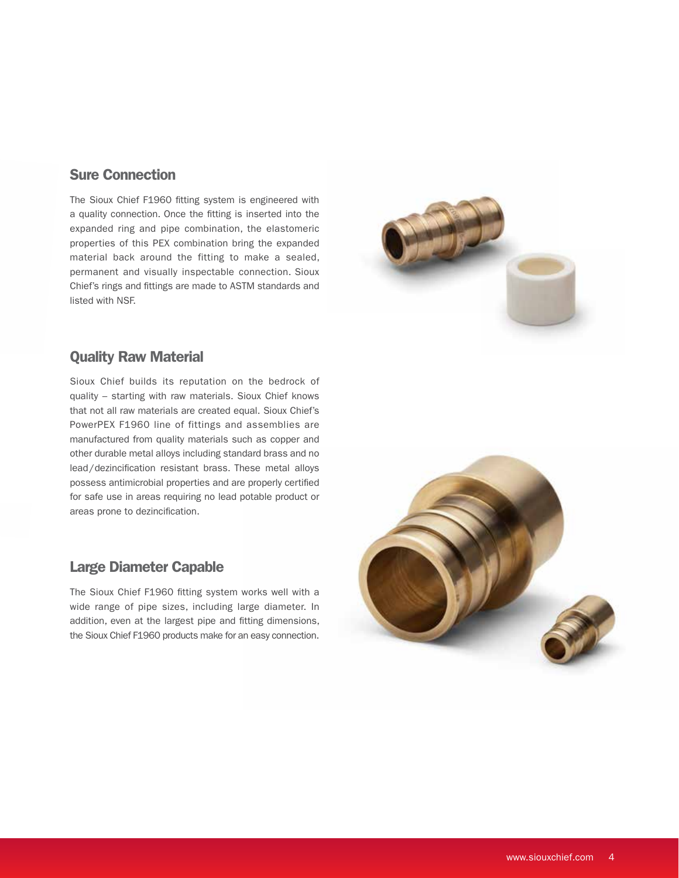### Sure Connection

The Sioux Chief F1960 fitting system is engineered with a quality connection. Once the fitting is inserted into the expanded ring and pipe combination, the elastomeric properties of this PEX combination bring the expanded material back around the fitting to make a sealed, permanent and visually inspectable connection. Sioux Chief's rings and fittings are made to ASTM standards and listed with NSF.



### Quality Raw Material

Sioux Chief builds its reputation on the bedrock of quality – starting with raw materials. Sioux Chief knows that not all raw materials are created equal. Sioux Chief's PowerPEX F1960 line of fittings and assemblies are manufactured from quality materials such as copper and other durable metal alloys including standard brass and no lead/dezincification resistant brass. These metal alloys possess antimicrobial properties and are properly certified for safe use in areas requiring no lead potable product or areas prone to dezincification.

### Large Diameter Capable

The Sioux Chief F1960 fitting system works well with a wide range of pipe sizes, including large diameter. In addition, even at the largest pipe and fitting dimensions, the Sioux Chief F1960 products make for an easy connection.

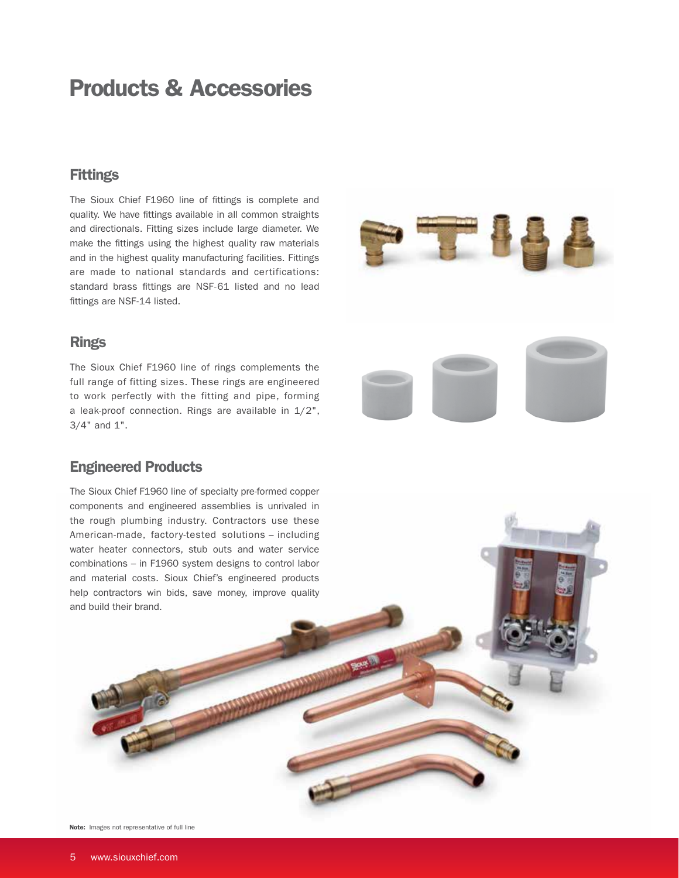### Products & Accessories

#### **Fittings**

The Sioux Chief F1960 line of fittings is complete and quality. We have fittings available in all common straights and directionals. Fitting sizes include large diameter. We make the fittings using the highest quality raw materials and in the highest quality manufacturing facilities. Fittings are made to national standards and certifications: standard brass fittings are NSF-61 listed and no lead fittings are NSF-14 listed.



#### **Rings**

The Sioux Chief F1960 line of rings complements the full range of fitting sizes. These rings are engineered to work perfectly with the fitting and pipe, forming a leak-proof connection. Rings are available in 1/2", 3/4" and 1".

### Engineered Products

The Sioux Chief F1960 line of specialty pre-formed copper components and engineered assemblies is unrivaled in the rough plumbing industry. Contractors use these American-made, factory-tested solutions – including water heater connectors, stub outs and water service combinations – in F1960 system designs to control labor and material costs. Sioux Chief's engineered products help contractors win bids, save money, improve quality and build their brand.

Note: Images not representative of full line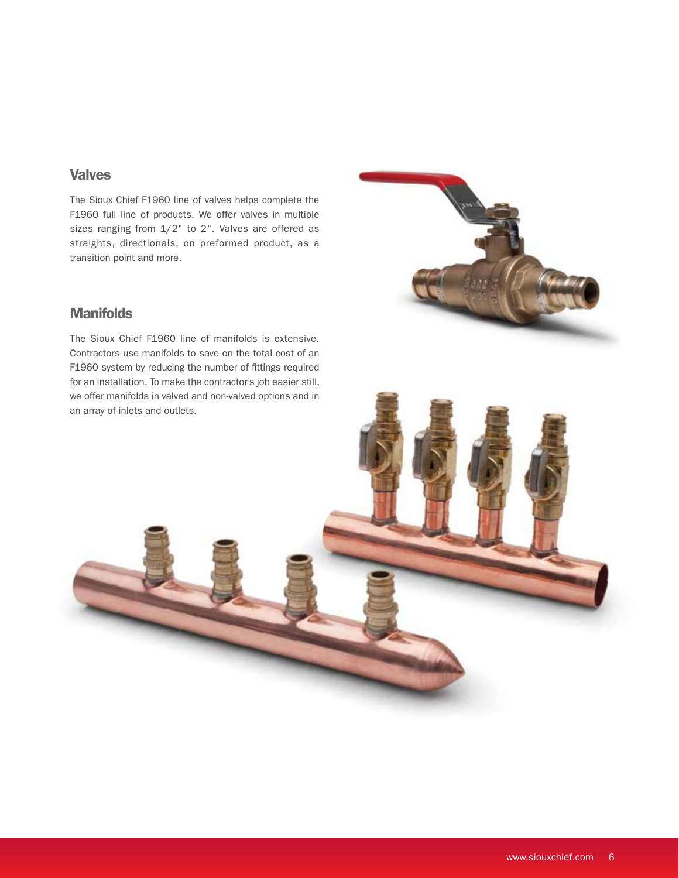### **Valves**

The Sioux Chief F1960 line of valves helps complete the F1960 full line of products. We offer valves in multiple sizes ranging from 1/2" to 2". Valves are offered as straights, directionals, on preformed product, as a transition point and more.

### **Manifolds**

The Sioux Chief F1960 line of manifolds is extensive. Contractors use manifolds to save on the total cost of an F1960 system by reducing the number of fittings required for an installation. To make the contractor's job easier still, we offer manifolds in valved and non-valved options and in an array of inlets and outlets.



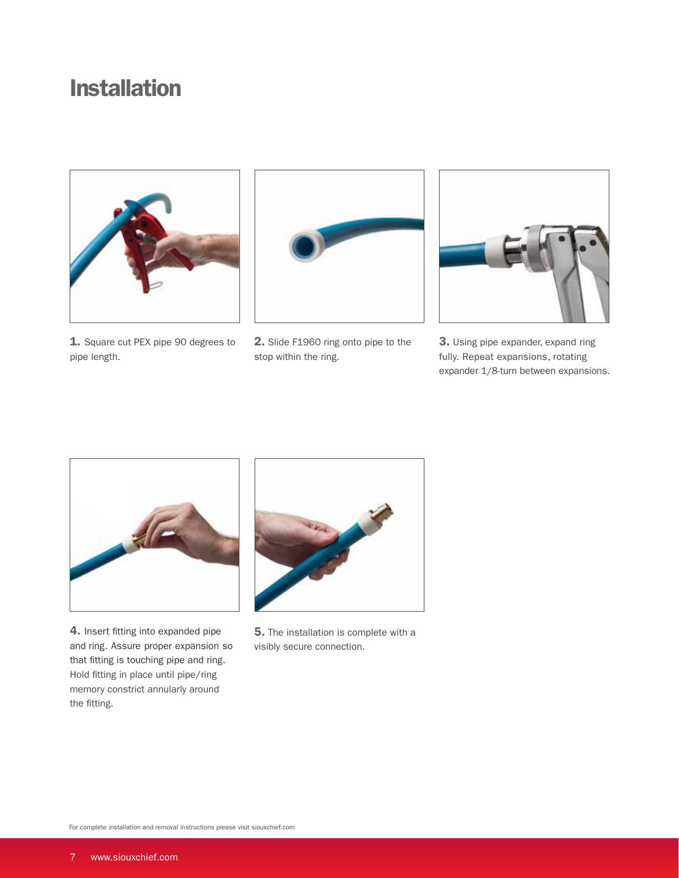### Installation



1. Square cut PEX pipe 90 degrees to pipe length.



2. Slide F1960 ring onto pipe to the stop within the ring.



3. Using pipe expander, expand ring fully. Repeat expansions, rotating expander 1/8-turn between expansions.



4. Insert fitting into expanded pipe and ring. Assure proper expansion so that fitting is touching pipe and ring. Hold fitting in place until pipe/ring memory constrict annularly around the fitting.



**5.** The installation is complete with a visibly secure connection.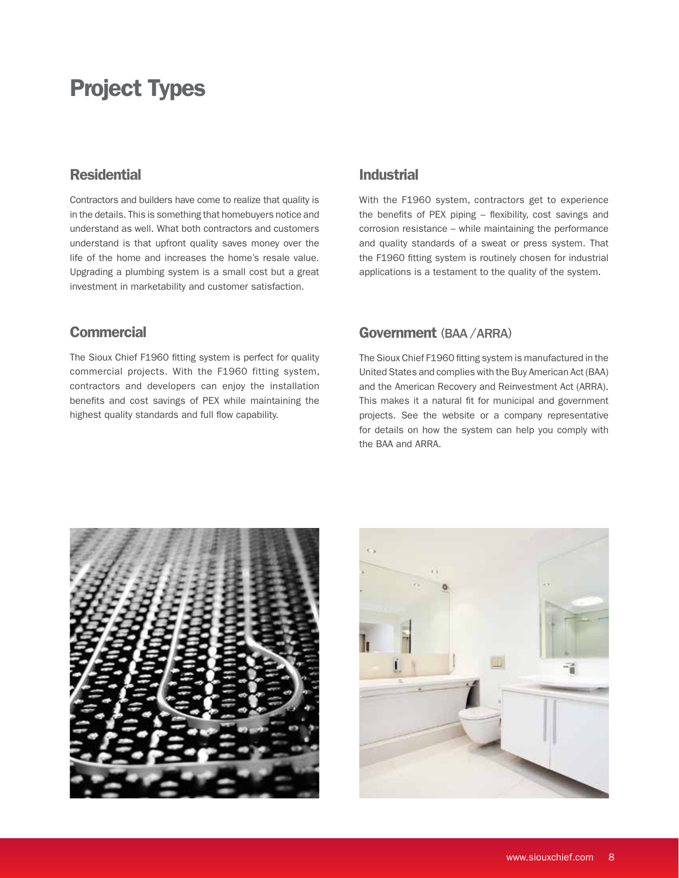### Project Types

### **Residential**

Contractors and builders have come to realize that quality is in the details. This is something that homebuyers notice and understand as well. What both contractors and customers understand is that upfront quality saves money over the life of the home and increases the home's resale value. Upgrading a plumbing system is a small cost but a great investment in marketability and customer satisfaction.

### **Commercial**

The Sioux Chief F1960 fitting system is perfect for quality commercial projects. With the F1960 fitting system, contractors and developers can enjoy the installation benefits and cost savings of PEX while maintaining the highest quality standards and full flow capability.

### Industrial

With the F1960 system, contractors get to experience the benefits of PEX piping – flexibility, cost savings and corrosion resistance – while maintaining the performance and quality standards of a sweat or press system. That the F1960 fitting system is routinely chosen for industrial applications is a testament to the quality of the system.

#### Government (BAA / ARRA)

The Sioux Chief F1960 fitting system is manufactured in the United States and complies with the Buy American Act (BAA) and the American Recovery and Reinvestment Act (ARRA). This makes it a natural fit for municipal and government projects. See the website or a company representative for details on how the system can help you comply with the BAA and ARRA.



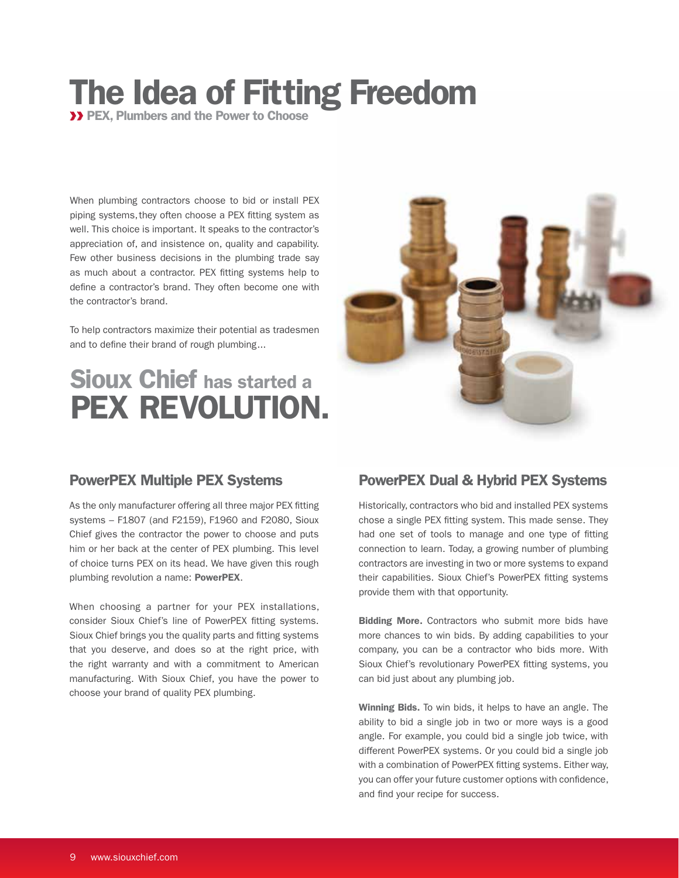## The Idea of Fitting Freedom

**>> PEX, Plumbers and the Power to Choose** 

When plumbing contractors choose to bid or install PEX piping systems, they often choose a PEX fitting system as well. This choice is important. It speaks to the contractor's appreciation of, and insistence on, quality and capability. Few other business decisions in the plumbing trade say as much about a contractor. PEX fitting systems help to define a contractor's brand. They often become one with the contractor's brand.

To help contractors maximize their potential as tradesmen and to define their brand of rough plumbing...

### Sioux Chief has started a PEX REVOLUTION.



### PowerPEX Multiple PEX Systems

As the only manufacturer offering all three major PEX fitting systems – F1807 (and F2159), F1960 and F2080, Sioux Chief gives the contractor the power to choose and puts him or her back at the center of PEX plumbing. This level of choice turns PEX on its head. We have given this rough plumbing revolution a name: PowerPEX.

When choosing a partner for your PEX installations, consider Sioux Chief's line of PowerPEX fitting systems. Sioux Chief brings you the quality parts and fitting systems that you deserve, and does so at the right price, with the right warranty and with a commitment to American manufacturing. With Sioux Chief, you have the power to choose your brand of quality PEX plumbing.

### PowerPEX Dual & Hybrid PEX Systems

Historically, contractors who bid and installed PEX systems chose a single PEX fitting system. This made sense. They had one set of tools to manage and one type of fitting connection to learn. Today, a growing number of plumbing contractors are investing in two or more systems to expand their capabilities. Sioux Chief's PowerPEX fitting systems provide them with that opportunity.

**Bidding More.** Contractors who submit more bids have more chances to win bids. By adding capabilities to your company, you can be a contractor who bids more. With Sioux Chief's revolutionary PowerPEX fitting systems, you can bid just about any plumbing job.

Winning Bids. To win bids, it helps to have an angle. The ability to bid a single job in two or more ways is a good angle. For example, you could bid a single job twice, with different PowerPEX systems. Or you could bid a single job with a combination of PowerPEX fitting systems. Either way, you can offer your future customer options with confidence, and find your recipe for success.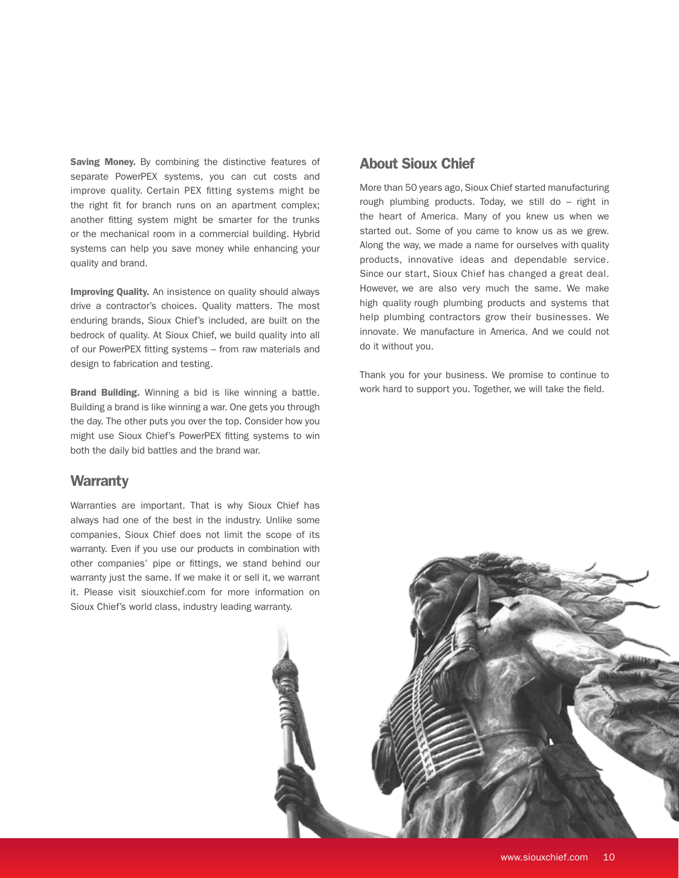Saving Money. By combining the distinctive features of separate PowerPEX systems, you can cut costs and improve quality. Certain PEX fitting systems might be the right fit for branch runs on an apartment complex; another fitting system might be smarter for the trunks or the mechanical room in a commercial building. Hybrid systems can help you save money while enhancing your quality and brand.

Improving Quality. An insistence on quality should always drive a contractor's choices. Quality matters. The most enduring brands, Sioux Chief's included, are built on the bedrock of quality. At Sioux Chief, we build quality into all of our PowerPEX fitting systems – from raw materials and design to fabrication and testing.

Brand Building. Winning a bid is like winning a battle. Building a brand is like winning a war. One gets you through the day. The other puts you over the top. Consider how you might use Sioux Chief's PowerPEX fitting systems to win both the daily bid battles and the brand war.

#### **Warranty**

Warranties are important. That is why Sioux Chief has always had one of the best in the industry. Unlike some companies, Sioux Chief does not limit the scope of its warranty. Even if you use our products in combination with other companies' pipe or fittings, we stand behind our warranty just the same. If we make it or sell it, we warrant it. Please visit siouxchief.com for more information on Sioux Chief's world class, industry leading warranty.

### About Sioux Chief

More than 50 years ago, Sioux Chief started manufacturing rough plumbing products. Today, we still do – right in the heart of America. Many of you knew us when we started out. Some of you came to know us as we grew. Along the way, we made a name for ourselves with quality products, innovative ideas and dependable service. Since our start, Sioux Chief has changed a great deal. However, we are also very much the same. We make high quality rough plumbing products and systems that help plumbing contractors grow their businesses. We innovate. We manufacture in America. And we could not do it without you.

Thank you for your business. We promise to continue to work hard to support you. Together, we will take the field.